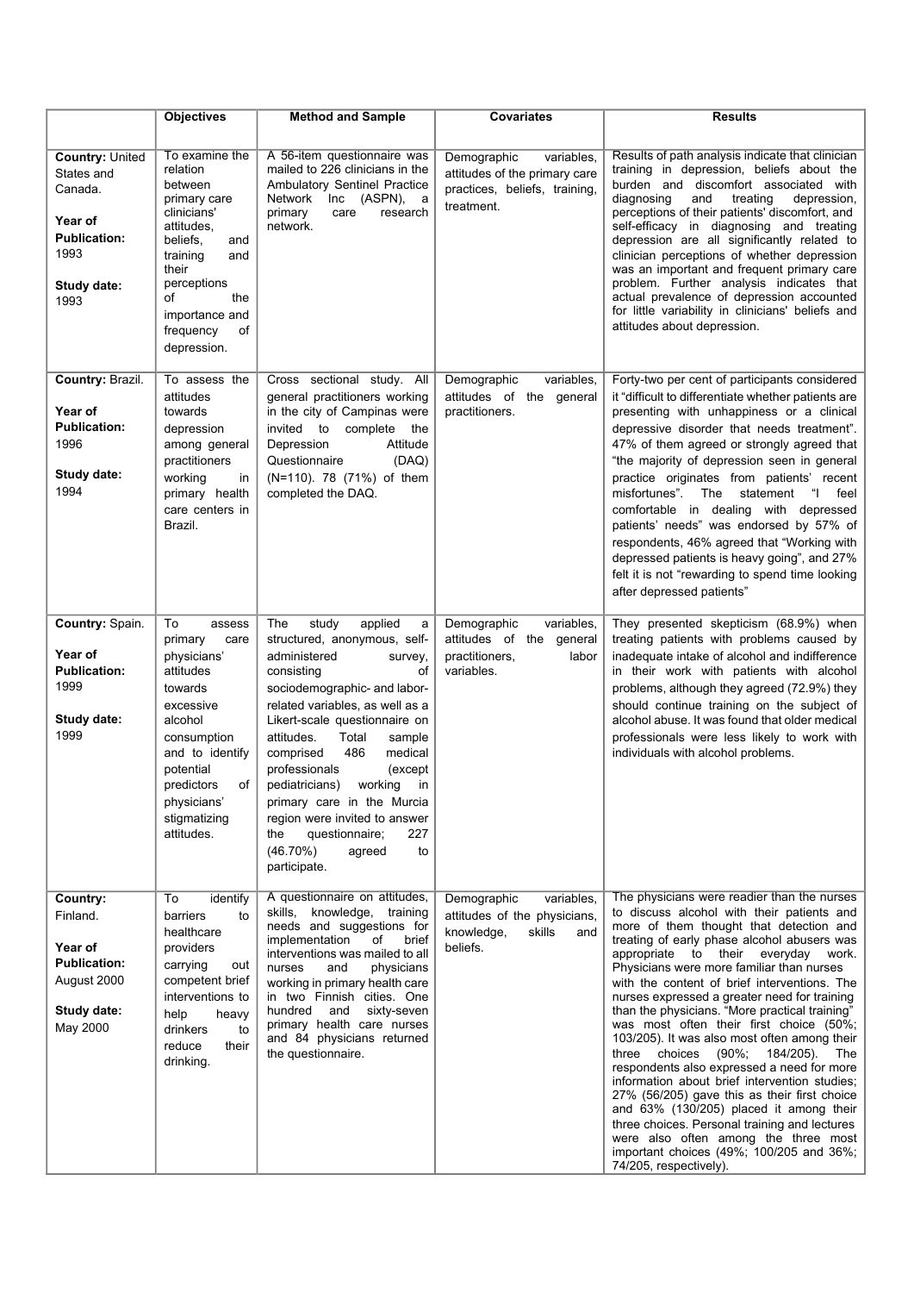|                                                                                                                  | <b>Objectives</b>                                                                                                                                                                                                 | <b>Method and Sample</b>                                                                                                                                                                                                                                                                                                                                                                                                                                                                     | <b>Covariates</b>                                                                                         | <b>Results</b>                                                                                                                                                                                                                                                                                                                                                                                                                                                                                                                                                                                                                                                                                                                                                                                                                                                                                                                           |
|------------------------------------------------------------------------------------------------------------------|-------------------------------------------------------------------------------------------------------------------------------------------------------------------------------------------------------------------|----------------------------------------------------------------------------------------------------------------------------------------------------------------------------------------------------------------------------------------------------------------------------------------------------------------------------------------------------------------------------------------------------------------------------------------------------------------------------------------------|-----------------------------------------------------------------------------------------------------------|------------------------------------------------------------------------------------------------------------------------------------------------------------------------------------------------------------------------------------------------------------------------------------------------------------------------------------------------------------------------------------------------------------------------------------------------------------------------------------------------------------------------------------------------------------------------------------------------------------------------------------------------------------------------------------------------------------------------------------------------------------------------------------------------------------------------------------------------------------------------------------------------------------------------------------------|
| <b>Country: United</b><br>States and<br>Canada.<br>Year of<br><b>Publication:</b><br>1993<br>Study date:<br>1993 | To examine the<br>relation<br>between<br>primary care<br>clinicians'<br>attitudes,<br>beliefs,<br>and<br>training<br>and<br>their<br>perceptions<br>of<br>the<br>importance and<br>frequency<br>οf<br>depression. | A 56-item questionnaire was<br>mailed to 226 clinicians in the<br>Ambulatory Sentinel Practice<br>Network<br>Inc<br>(ASPN),<br>a<br>primary<br>care<br>research<br>network.                                                                                                                                                                                                                                                                                                                  | Demographic<br>variables,<br>attitudes of the primary care<br>practices, beliefs, training,<br>treatment. | Results of path analysis indicate that clinician<br>training in depression, beliefs about the<br>burden and discomfort associated with<br>diagnosing<br>and<br>treating<br>depression,<br>perceptions of their patients' discomfort, and<br>self-efficacy in diagnosing and treating<br>depression are all significantly related to<br>clinician perceptions of whether depression<br>was an important and frequent primary care<br>problem. Further analysis indicates that<br>actual prevalence of depression accounted<br>for little variability in clinicians' beliefs and<br>attitudes about depression.                                                                                                                                                                                                                                                                                                                            |
| Country: Brazil.<br>Year of<br><b>Publication:</b><br>1996<br>Study date:<br>1994                                | To assess the<br>attitudes<br>towards<br>depression<br>among general<br>practitioners<br>working<br>in<br>primary health<br>care centers in<br>Brazil.                                                            | Cross sectional study. All<br>general practitioners working<br>in the city of Campinas were<br>invited<br>to complete<br>the<br>Depression<br>Attitude<br>Questionnaire<br>(DAQ)<br>(N=110). 78 (71%) of them<br>completed the DAQ.                                                                                                                                                                                                                                                          | Demographic<br>variables,<br>attitudes of the general<br>practitioners.                                   | Forty-two per cent of participants considered<br>it "difficult to differentiate whether patients are<br>presenting with unhappiness or a clinical<br>depressive disorder that needs treatment".<br>47% of them agreed or strongly agreed that<br>"the majority of depression seen in general<br>practice originates from patients' recent<br>misfortunes".<br>The<br>statement<br>feel<br>$\mathbf{u}$<br>comfortable in dealing with depressed<br>patients' needs" was endorsed by 57% of<br>respondents, 46% agreed that "Working with<br>depressed patients is heavy going", and 27%<br>felt it is not "rewarding to spend time looking<br>after depressed patients"                                                                                                                                                                                                                                                                  |
| Country: Spain.<br>Year of<br><b>Publication:</b><br>1999<br>Study date:<br>1999                                 | To<br>assess<br>primary<br>care<br>physicians'<br>attitudes<br>towards<br>excessive<br>alcohol<br>consumption<br>and to identify<br>potential<br>of<br>predictors<br>physicians'<br>stigmatizing<br>attitudes.    | study<br>applied<br>The<br>a<br>structured, anonymous, self-<br>administered<br>survey,<br>οf<br>consisting<br>sociodemographic- and labor-<br>related variables, as well as a<br>Likert-scale questionnaire on<br>attitudes.<br>Total<br>sample<br>486<br>medical<br>comprised<br>professionals<br>(except<br>working<br>pediatricians)<br>in<br>primary care in the Murcia<br>region were invited to answer<br>the<br>questionnaire;<br>227<br>$(46.70\%)$<br>agreed<br>to<br>participate. | variables,<br>Demographic<br>attitudes of the<br>general<br>practitioners,<br>labor<br>variables.         | They presented skepticism (68.9%) when<br>treating patients with problems caused by<br>inadequate intake of alcohol and indifference<br>in their work with patients with alcohol<br>problems, although they agreed (72.9%) they<br>should continue training on the subject of<br>alcohol abuse. It was found that older medical<br>professionals were less likely to work with<br>individuals with alcohol problems.                                                                                                                                                                                                                                                                                                                                                                                                                                                                                                                     |
| Country:<br>Finland.<br>Year of<br><b>Publication:</b><br>August 2000<br><b>Study date:</b><br>May 2000          | To<br>identify<br>barriers<br>to<br>healthcare<br>providers<br>carrying<br>out<br>competent brief<br>interventions to<br>help<br>heavy<br>drinkers<br>to<br>reduce<br>their<br>drinking.                          | A questionnaire on attitudes,<br>skills.<br>knowledge, training<br>needs and suggestions for<br>implementation<br>of<br>brief<br>interventions was mailed to all<br>nurses<br>physicians<br>and<br>working in primary health care<br>in two Finnish cities. One<br>hundred<br>and<br>sixty-seven<br>primary health care nurses<br>and 84 physicians returned<br>the questionnaire.                                                                                                           | Demographic<br>variables,<br>attitudes of the physicians,<br>knowledge,<br>skills<br>and<br>beliefs.      | The physicians were readier than the nurses<br>to discuss alcohol with their patients and<br>more of them thought that detection and<br>treating of early phase alcohol abusers was<br>appropriate to their everyday work.<br>Physicians were more familiar than nurses<br>with the content of brief interventions. The<br>nurses expressed a greater need for training<br>than the physicians. "More practical training"<br>was most often their first choice (50%;<br>103/205). It was also most often among their<br>choices<br>$(90\%;$<br>three<br>184/205).<br><b>The</b><br>respondents also expressed a need for more<br>information about brief intervention studies;<br>27% (56/205) gave this as their first choice<br>and 63% (130/205) placed it among their<br>three choices. Personal training and lectures<br>were also often among the three most<br>important choices (49%; 100/205 and 36%;<br>74/205, respectively). |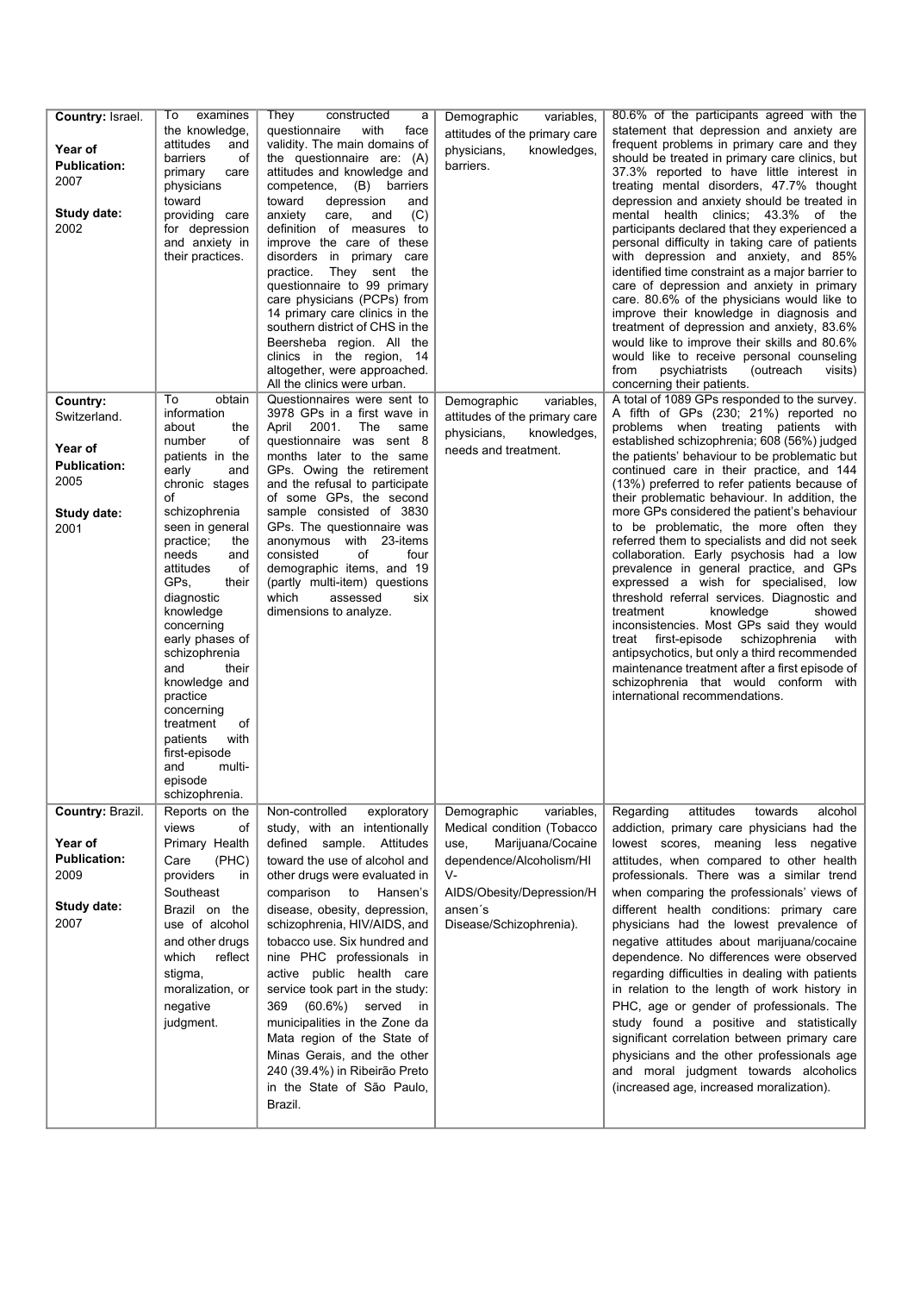| Country: Israel.<br>Year of<br><b>Publication:</b><br>2007<br>Study date:<br>2002         | examines<br>To:<br>the knowledge,<br>attitudes<br>and<br>barriers<br>оf<br>primary<br>care<br>physicians<br>toward<br>providing care<br>for depression<br>and anxiety in<br>their practices.                                                                                                                                                                                                                                                                                     | They<br>constructed<br>а<br>questionnaire<br>with<br>face<br>validity. The main domains of<br>the questionnaire are: (A)<br>attitudes and knowledge and<br>competence, (B) barriers<br>toward<br>depression<br>and<br>anxiety<br>(C)<br>care,<br>and<br>definition of measures to<br>improve the care of these<br>disorders in primary care<br>practice.<br>They sent the<br>questionnaire to 99 primary<br>care physicians (PCPs) from<br>14 primary care clinics in the<br>southern district of CHS in the<br>Beersheba region. All the<br>clinics in the region, 14<br>altogether, were approached.<br>All the clinics were urban. | Demographic<br>variables,<br>attitudes of the primary care<br>physicians,<br>knowledges,<br>barriers.                                                                                     | 80.6% of the participants agreed with the<br>statement that depression and anxiety are<br>frequent problems in primary care and they<br>should be treated in primary care clinics, but<br>37.3% reported to have little interest in<br>treating mental disorders, 47.7% thought<br>depression and anxiety should be treated in<br>mental health clinics; 43.3% of the<br>participants declared that they experienced a<br>personal difficulty in taking care of patients<br>with depression and anxiety, and 85%<br>identified time constraint as a major barrier to<br>care of depression and anxiety in primary<br>care. 80.6% of the physicians would like to<br>improve their knowledge in diagnosis and<br>treatment of depression and anxiety, 83.6%<br>would like to improve their skills and 80.6%<br>would like to receive personal counseling<br>from<br>psychiatrists<br>(outreach<br>visits)<br>concerning their patients.                                                                       |
|-------------------------------------------------------------------------------------------|----------------------------------------------------------------------------------------------------------------------------------------------------------------------------------------------------------------------------------------------------------------------------------------------------------------------------------------------------------------------------------------------------------------------------------------------------------------------------------|---------------------------------------------------------------------------------------------------------------------------------------------------------------------------------------------------------------------------------------------------------------------------------------------------------------------------------------------------------------------------------------------------------------------------------------------------------------------------------------------------------------------------------------------------------------------------------------------------------------------------------------|-------------------------------------------------------------------------------------------------------------------------------------------------------------------------------------------|--------------------------------------------------------------------------------------------------------------------------------------------------------------------------------------------------------------------------------------------------------------------------------------------------------------------------------------------------------------------------------------------------------------------------------------------------------------------------------------------------------------------------------------------------------------------------------------------------------------------------------------------------------------------------------------------------------------------------------------------------------------------------------------------------------------------------------------------------------------------------------------------------------------------------------------------------------------------------------------------------------------|
| Country:<br>Switzerland.<br>Year of<br><b>Publication:</b><br>2005<br>Study date:<br>2001 | obtain<br>To<br>information<br>about<br>the<br>number<br>οf<br>patients in the<br>early<br>and<br>chronic stages<br>of<br>schizophrenia<br>seen in general<br>practice;<br>the<br>needs<br>and<br>attitudes<br>οf<br>GPs,<br>their<br>diagnostic<br>knowledge<br>concerning<br>early phases of<br>schizophrenia<br>and<br>their<br>knowledge and<br>practice<br>concerning<br>of<br>treatment<br>with<br>patients<br>first-episode<br>multi-<br>and<br>episode<br>schizophrenia. | Questionnaires were sent to<br>3978 GPs in a first wave in<br>2001.<br>The<br>April<br>same<br>questionnaire was sent 8<br>months later to the same<br>GPs. Owing the retirement<br>and the refusal to participate<br>of some GPs, the second<br>sample consisted of 3830<br>GPs. The questionnaire was<br>anonymous with 23-items<br>consisted<br>of<br>four<br>demographic items, and 19<br>(partly multi-item) questions<br>which<br>assessed<br>six<br>dimensions to analyze.                                                                                                                                                     | Demographic<br>variables,<br>attitudes of the primary care<br>physicians,<br>knowledges,<br>needs and treatment.                                                                          | A total of 1089 GPs responded to the survey.<br>A fifth of GPs (230; 21%) reported no<br>problems when treating patients with<br>established schizophrenia; 608 (56%) judged<br>the patients' behaviour to be problematic but<br>continued care in their practice, and 144<br>(13%) preferred to refer patients because of<br>their problematic behaviour. In addition, the<br>more GPs considered the patient's behaviour<br>to be problematic, the more often they<br>referred them to specialists and did not seek<br>collaboration. Early psychosis had a low<br>prevalence in general practice, and GPs<br>expressed a wish for specialised, low<br>threshold referral services. Diagnostic and<br>treatment<br>knowledge<br>showed<br>inconsistencies. Most GPs said they would<br>treat first-episode schizophrenia with<br>antipsychotics, but only a third recommended<br>maintenance treatment after a first episode of<br>schizophrenia that would conform with<br>international recommendations. |
| Country: Brazil.<br>Year of<br><b>Publication:</b><br>2009<br>Study date:<br>2007         | Reports on the<br>views<br>οt<br>Primary Health<br>Care<br>(PHC)<br>providers<br>in<br>Southeast<br>Brazil on the<br>use of alcohol<br>and other drugs<br>reflect<br>which<br>stigma,<br>moralization, or<br>negative<br>judgment.                                                                                                                                                                                                                                               | Non-controlled<br>exploratory<br>study, with an intentionally<br>defined sample. Attitudes<br>toward the use of alcohol and<br>other drugs were evaluated in<br>comparison to Hansen's<br>disease, obesity, depression,<br>schizophrenia, HIV/AIDS, and<br>tobacco use. Six hundred and<br>nine PHC professionals in<br>active public health care<br>service took part in the study:<br>369 (60.6%) served<br>in<br>municipalities in the Zone da<br>Mata region of the State of<br>Minas Gerais, and the other<br>240 (39.4%) in Ribeirão Preto<br>in the State of São Paulo,<br>Brazil.                                             | variables,<br>Demographic<br>Medical condition (Tobacco<br>Marijuana/Cocaine<br>use,<br>dependence/Alcoholism/HI<br>V-<br>AIDS/Obesity/Depression/H<br>ansen's<br>Disease/Schizophrenia). | Regarding<br>attitudes<br>towards<br>alcohol<br>addiction, primary care physicians had the<br>lowest scores, meaning less negative<br>attitudes, when compared to other health<br>professionals. There was a similar trend<br>when comparing the professionals' views of<br>different health conditions: primary care<br>physicians had the lowest prevalence of<br>negative attitudes about marijuana/cocaine<br>dependence. No differences were observed<br>regarding difficulties in dealing with patients<br>in relation to the length of work history in<br>PHC, age or gender of professionals. The<br>study found a positive and statistically<br>significant correlation between primary care<br>physicians and the other professionals age<br>and moral judgment towards alcoholics<br>(increased age, increased moralization).                                                                                                                                                                     |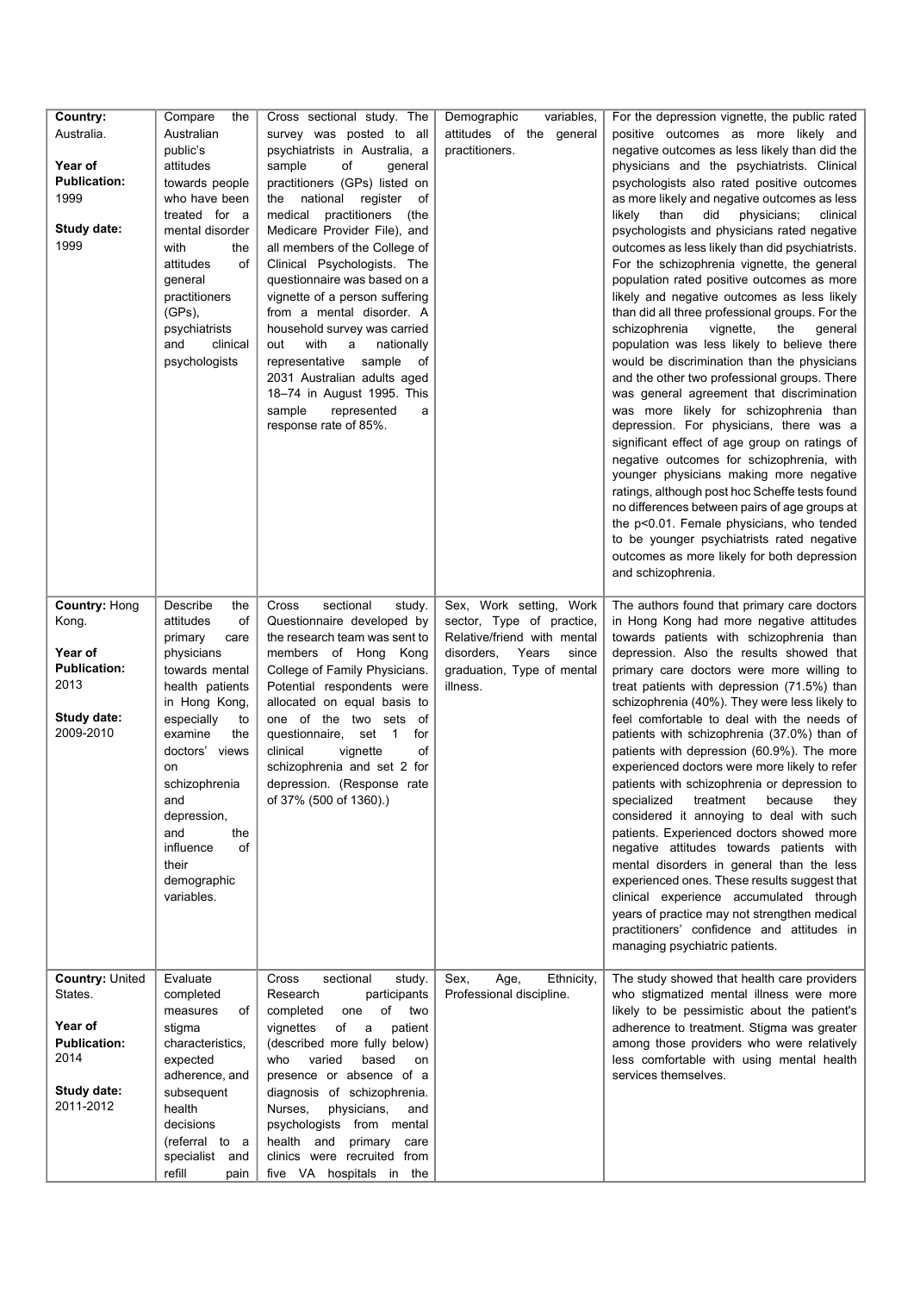| Country:<br>Australia.<br>Year of<br><b>Publication:</b><br>1999<br><b>Study date:</b><br>1999   | Compare<br>the<br>Australian<br>public's<br>attitudes<br>towards people<br>who have been<br>treated for a<br>mental disorder<br>with<br>the<br>of<br>attitudes<br>general<br>practitioners<br>$(GPs)$ ,<br>psychiatrists<br>and<br>clinical<br>psychologists                                          | Cross sectional study. The<br>survey was posted to all<br>psychiatrists in Australia, a<br>sample<br>of<br>general<br>practitioners (GPs) listed on<br>national<br>register<br>the<br>of<br>medical<br>practitioners<br>(the<br>Medicare Provider File), and<br>all members of the College of<br>Clinical Psychologists. The<br>questionnaire was based on a<br>vignette of a person suffering<br>from a mental disorder. A<br>household survey was carried<br>out<br>with<br>a<br>nationally<br>representative sample<br>of<br>2031 Australian adults aged<br>18-74 in August 1995. This<br>represented<br>sample<br>a<br>response rate of 85%. | variables,<br>Demographic<br>attitudes of the general<br>practitioners.                                                                                       | For the depression vignette, the public rated<br>positive outcomes as more likely and<br>negative outcomes as less likely than did the<br>physicians and the psychiatrists. Clinical<br>psychologists also rated positive outcomes<br>as more likely and negative outcomes as less<br>than<br>did<br>physicians;<br>likelv<br>clinical<br>psychologists and physicians rated negative<br>outcomes as less likely than did psychiatrists.<br>For the schizophrenia vignette, the general<br>population rated positive outcomes as more<br>likely and negative outcomes as less likely<br>than did all three professional groups. For the<br>vignette,<br>schizophrenia<br>the<br>qeneral<br>population was less likely to believe there<br>would be discrimination than the physicians<br>and the other two professional groups. There<br>was general agreement that discrimination<br>was more likely for schizophrenia than<br>depression. For physicians, there was a<br>significant effect of age group on ratings of<br>negative outcomes for schizophrenia, with<br>younger physicians making more negative<br>ratings, although post hoc Scheffe tests found<br>no differences between pairs of age groups at<br>the p<0.01. Female physicians, who tended<br>to be younger psychiatrists rated negative<br>outcomes as more likely for both depression<br>and schizophrenia. |
|--------------------------------------------------------------------------------------------------|-------------------------------------------------------------------------------------------------------------------------------------------------------------------------------------------------------------------------------------------------------------------------------------------------------|--------------------------------------------------------------------------------------------------------------------------------------------------------------------------------------------------------------------------------------------------------------------------------------------------------------------------------------------------------------------------------------------------------------------------------------------------------------------------------------------------------------------------------------------------------------------------------------------------------------------------------------------------|---------------------------------------------------------------------------------------------------------------------------------------------------------------|-------------------------------------------------------------------------------------------------------------------------------------------------------------------------------------------------------------------------------------------------------------------------------------------------------------------------------------------------------------------------------------------------------------------------------------------------------------------------------------------------------------------------------------------------------------------------------------------------------------------------------------------------------------------------------------------------------------------------------------------------------------------------------------------------------------------------------------------------------------------------------------------------------------------------------------------------------------------------------------------------------------------------------------------------------------------------------------------------------------------------------------------------------------------------------------------------------------------------------------------------------------------------------------------------------------------------------------------------------------------------------------|
| Country: Hong<br>Kong.<br>Year of<br><b>Publication:</b><br>2013<br>Study date:<br>2009-2010     | Describe<br>the<br>attitudes<br>of<br>primary<br>care<br>physicians<br>towards mental<br>health patients<br>in Hong Kong,<br>especially<br>to<br>examine<br>the<br>doctors' views<br>on<br>schizophrenia<br>and<br>depression,<br>and<br>the<br>influence<br>οf<br>their<br>demographic<br>variables. | Cross<br>sectional<br>study.<br>Questionnaire developed by<br>the research team was sent to<br>members of Hong Kong<br>College of Family Physicians.<br>Potential respondents were<br>allocated on equal basis to<br>one of the two sets<br>of<br>questionnaire,<br>set<br>$\overline{1}$<br>for<br>clinical<br>of<br>vignette<br>schizophrenia and set 2 for<br>depression. (Response rate<br>of 37% (500 of 1360).)                                                                                                                                                                                                                            | Sex, Work setting, Work<br>sector, Type of practice,<br>Relative/friend with mental<br>disorders,<br>Years<br>since<br>graduation, Type of mental<br>illness. | The authors found that primary care doctors<br>in Hong Kong had more negative attitudes<br>towards patients with schizophrenia than<br>depression. Also the results showed that<br>primary care doctors were more willing to<br>treat patients with depression (71.5%) than<br>schizophrenia (40%). They were less likely to<br>feel comfortable to deal with the needs of<br>patients with schizophrenia (37.0%) than of<br>patients with depression (60.9%). The more<br>experienced doctors were more likely to refer<br>patients with schizophrenia or depression to<br>specialized<br>treatment<br>because<br>they<br>considered it annoying to deal with such<br>patients. Experienced doctors showed more<br>negative attitudes towards patients with<br>mental disorders in general than the less<br>experienced ones. These results suggest that<br>clinical experience accumulated through<br>years of practice may not strengthen medical<br>practitioners' confidence and attitudes in<br>managing psychiatric patients.                                                                                                                                                                                                                                                                                                                                                |
| Country: United<br>States.<br>Year of<br><b>Publication:</b><br>2014<br>Study date:<br>2011-2012 | Evaluate<br>completed<br>measures<br>of<br>stigma<br>characteristics,<br>expected<br>adherence, and<br>subsequent<br>health<br>decisions<br>(referral to a<br>specialist<br>and<br>refill<br>pain                                                                                                     | Cross<br>sectional<br>study.<br>Research<br>participants<br>of two<br>completed<br>one<br>of<br>vignettes<br>patient<br>a<br>(described more fully below)<br>varied<br>who<br>based<br>on<br>presence or absence of a<br>diagnosis of schizophrenia.<br>Nurses,<br>physicians,<br>and<br>psychologists from mental<br>health and<br>primary<br>care<br>clinics were recruited from<br>five VA hospitals in the                                                                                                                                                                                                                                   | Sex,<br>Ethnicity,<br>Age,<br>Professional discipline.                                                                                                        | The study showed that health care providers<br>who stigmatized mental illness were more<br>likely to be pessimistic about the patient's<br>adherence to treatment. Stigma was greater<br>among those providers who were relatively<br>less comfortable with using mental health<br>services themselves.                                                                                                                                                                                                                                                                                                                                                                                                                                                                                                                                                                                                                                                                                                                                                                                                                                                                                                                                                                                                                                                                             |